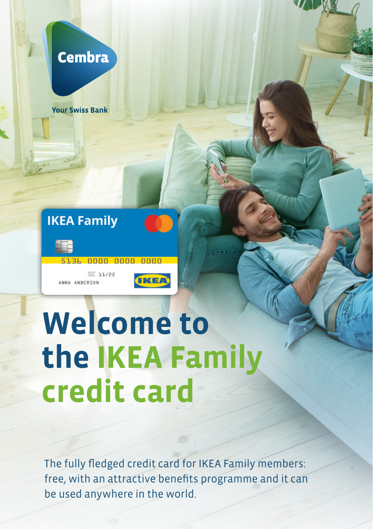

**Your Swiss Bank** 





WALD 11/22 ANNA ANDERSON



# **Welcome to the IKEA Family credit card**

The fully fledged credit card for IKEA Family members: free, with an attractive benefits programme and it can be used anywhere in the world.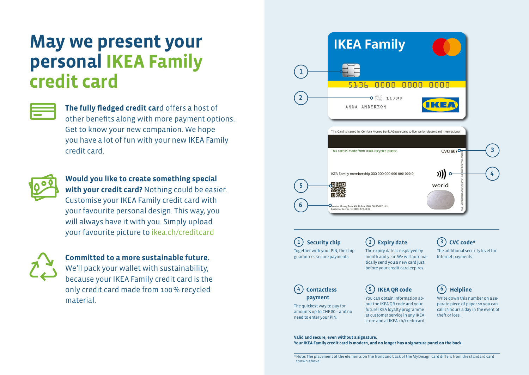## **May we present your personal IKEA Family credit card**

**The fully fledged credit car**d offers a host of other benefits along with more payment options. Get to know your new companion. We hope you have a lot of fun with your new IKEA Family credit card.



**Would you like to create something special with your credit card?** Nothing could be easier. Customise your IKEA Family credit card with your favourite personal design. This way, you will always have it with you. Simply upload your favourite picture to ikea.ch/creditcard



### **Committed to a more sustainable future.**

We'll pack your wallet with sustainability, because your IKEA Family credit card is the only credit card made from 100% recycled material.



**Valid and secure, even without a signature. Your IKEA Family credit card is modern, and no longer has a signature panel on the back.**

\*Note: The placement of the elements on the front and back of the MyDesign card differs from the standard card shown above.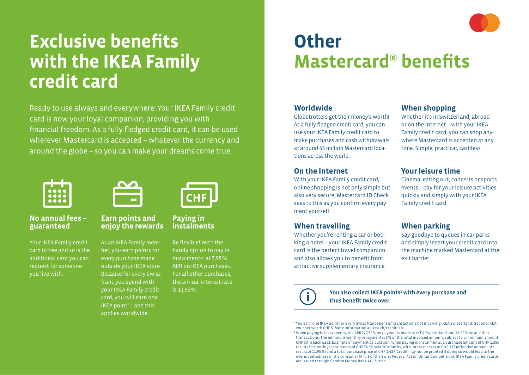# **Exclusive benefits with the IKEA Family credit card**

Ready to use always and everywhere: Your IKEA Family credit card is now your loyal companion, providing you with financial freedom. As a fully fledged credit card, it can be used wherever Mastercard is accepted – whatever the currency and around the globe – so you can make your dreams come true.



#### **No annual fees – guaranteed**

Your IKEA Family credit card is free and so is the additional card you can request for someone you live with.



#### **Earn points and enjoy the rewards**

As an IKEA Family member, you earn points for every purchase made outside your IKEA store. Because for every Swiss franc you spend with your IKEA Family credit card, you will earn one  $IKEA$  point<sup>1</sup> – and this applies worldwide.



#### **Paying in instalments**

Be flexible! With the handy option to pay in instalments<sup>2</sup> at 7,95% APR on IKEA purchases. For all other purchases, the annual interest rate is 11,95%.

## **Other Mastercard® benefits**

### **Worldwide**

Globetrotters get their money's worth! As a fully fledged credit card, you can use your IKEA Family credit card to make purchases and cash withdrawals at around 43 million Mastercard locations across the world.

#### **On the Internet**

With your IKEA Family credit card, online shopping is not only simple but also very secure. Mastercard ID Check sees to this as you confirm every payment yourself.

### **When travelling**

Whether you're renting a car or booking a hotel – your IKEA Family credit card is the perfect travel companion and also allows you to benefit from attractive supplementary insurance.

### **When shopping**

Whether it's in Switzerland, abroad or on the Internet – with your IKEA Family credit card, you can shop anywhere Mastercard is accepted at any time. Simple, practical, cashless.

### **Your leisure time**

Cinema, eating out, concerts or sports events – pay for your leisure activities quickly and simply with your IKEA Family credit card.

### **When parking**

Say goodbye to queues in car parks and simply insert your credit card into the machine marked Mastercard at the exit barrier.



You also collect IKEA points<sup>1</sup> with every purchase and **thus benefit twice over.**

<sup>1</sup> You earn one IKEA point for every Swiss franc spent on transactions not involving IKEA Switzerland. Get one IKEA voucher worth CHF 5. More information at ikea.ch/creditcard

<sup>2</sup> When paying in instalments, the APR is 7,95% on payments made to IKEA Switzerland and 11,95% on all other transactions. The minimum monthly repayment is 3% of the total invoiced amount, subject to a minimum amount CHF 50 in each cas3. Example of payment calculation: when paying in instalments, a purchase amount of CHF 1,350 results in monthly instalments of CHF 74.35 over 20 months, with interest costs of CHF 137 (effective annual interest rate 11,95%) and a total purchase price of CHF 1,487. Credit may not be granted if doing so would lead to the overindebtedness of the consumer (Art. 3 of the Swiss Federal Act on Unfair Competition). IKEA Family credit cards are issued through Cembra Money Bank AG, Zurich.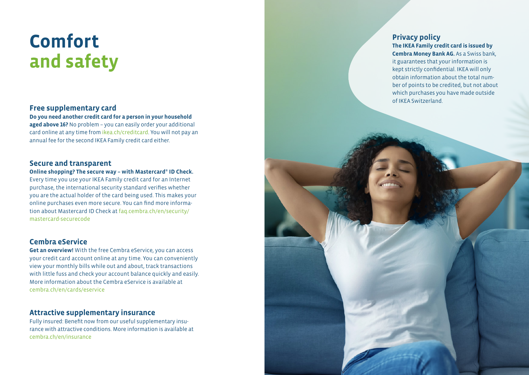# **Comfort and safety**

#### **Free supplementary card**

**Do you need another credit card for a person in your household aged above 16?** No problem – you can easily order your additional card online at any time from ikea.ch/creditcard. You will not pay an annual fee for the second IKEA Family credit card either.

#### **Secure and transparent**

#### **Online shopping? The secure way – with Mastercard ® ID Check.**

Every time you use your IKEA Family credit card for an Internet purchase, the international security standard verifies whether you are the actual holder of the card being used. This makes your online purchases even more secure. You can find more informa tion about Mastercard ID Check at faq.cembra.ch/en/security/ mastercard-securecode

### **Cembra eService**

**Get an overview!** With the free Cembra eService, you can access your credit card account online at any time. You can conveniently view your monthly bills while out and about, track transactions with little fuss and check your account balance quickly and easily. More information about the Cembra eService is available at cembra.ch/en/cards/eservice

#### **Attractive supplementary insurance**

Fully insured: Benefit now from our useful supplementary insu rance with attractive conditions. More information is available at cembra.ch/en/insurance

#### **Privacy policy The IKEA Family credit card is issued by**

**Cembra Money Bank AG.** As a Swiss bank, it guarantees that your information is kept strictly confidential. IKEA will only obtain information about the total num ber of points to be credited, but not about which purchases you have made outside of IKEA Switzerland.